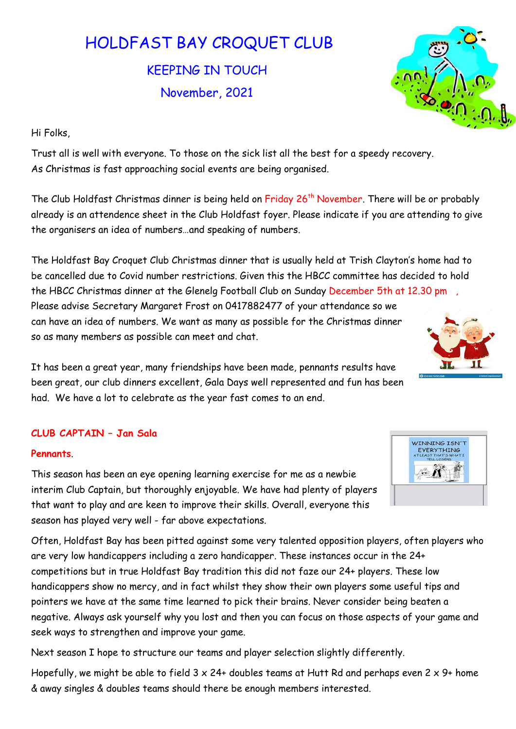# HOLDFAST BAY CROQUET CLUB

KEEPING IN TOUCH November, 2021



Hi Folks,

Trust all is well with everyone. To those on the sick list all the best for a speedy recovery. As Christmas is fast approaching social events are being organised.

The Club Holdfast Christmas dinner is being held on Friday 26<sup>th</sup> November. There will be or probably already is an attendence sheet in the Club Holdfast foyer. Please indicate if you are attending to give the organisers an idea of numbers…and speaking of numbers.

The Holdfast Bay Croquet Club Christmas dinner that is usually held at Trish Clayton's home had to be cancelled due to Covid number restrictions. Given this the HBCC committee has decided to hold the HBCC Christmas dinner at the Glenelg Football Club on Sunday December 5th at 12.30 pm Please advise Secretary Margaret Frost on 0417882477 of your attendance so we can have an idea of numbers. We want as many as possible for the Christmas dinner so as many members as possible can meet and chat.

It has been a great year, many friendships have been made, pennants results have been great, our club dinners excellent, Gala Days well represented and fun has been had. We have a lot to celebrate as the year fast comes to an end.

## CLUB CAPTAIN – Jan Sala

### Pennants.

This season has been an eye opening learning exercise for me as a newbie interim Club Captain, but thoroughly enjoyable. We have had plenty of players that want to play and are keen to improve their skills. Overall, everyone this season has played very well - far above expectations.

Often, Holdfast Bay has been pitted against some very talented opposition players, often players who are very low handicappers including a zero handicapper. These instances occur in the 24+ competitions but in true Holdfast Bay tradition this did not faze our 24+ players. These low handicappers show no mercy, and in fact whilst they show their own players some useful tips and pointers we have at the same time learned to pick their brains. Never consider being beaten a negative. Always ask yourself why you lost and then you can focus on those aspects of your game and seek ways to strengthen and improve your game.

Next season I hope to structure our teams and player selection slightly differently.

Hopefully, we might be able to field  $3 \times 24+$  doubles teams at Hutt Rd and perhaps even  $2 \times 9+$  home & away singles & doubles teams should there be enough members interested.



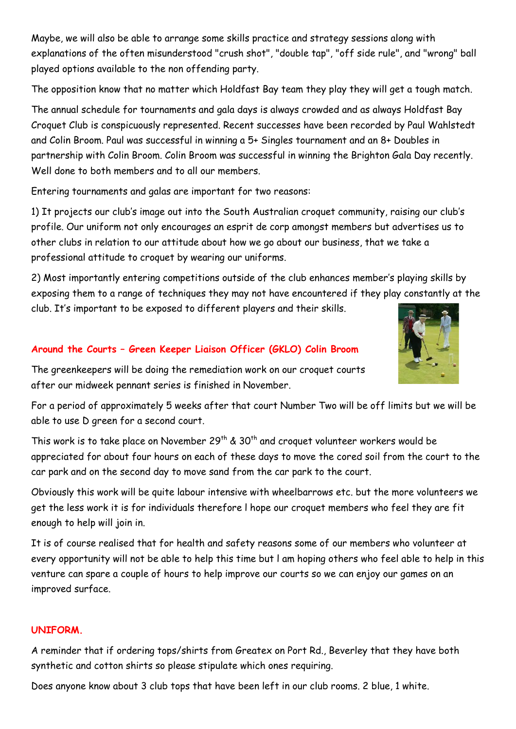Maybe, we will also be able to arrange some skills practice and strategy sessions along with explanations of the often misunderstood "crush shot", "double tap", "off side rule", and "wrong" ball played options available to the non offending party.

The opposition know that no matter which Holdfast Bay team they play they will get a tough match.

The annual schedule for tournaments and gala days is always crowded and as always Holdfast Bay Croquet Club is conspicuously represented. Recent successes have been recorded by Paul Wahlstedt and Colin Broom. Paul was successful in winning a 5+ Singles tournament and an 8+ Doubles in partnership with Colin Broom. Colin Broom was successful in winning the Brighton Gala Day recently. Well done to both members and to all our members.

Entering tournaments and galas are important for two reasons:

1) It projects our club's image out into the South Australian croquet community, raising our club's profile. Our uniform not only encourages an esprit de corp amongst members but advertises us to other clubs in relation to our attitude about how we go about our business, that we take a professional attitude to croquet by wearing our uniforms.

2) Most importantly entering competitions outside of the club enhances member's playing skills by exposing them to a range of techniques they may not have encountered if they play constantly at the club. It's important to be exposed to different players and their skills.

# Around the Courts – Green Keeper Liaison Officer (GKLO) Colin Broom

The greenkeepers will be doing the remediation work on our croquet courts after our midweek pennant series is finished in November.

For a period of approximately 5 weeks after that court Number Two will be off limits but we will be able to use D green for a second court.

This work is to take place on November 29<sup>th</sup> & 30<sup>th</sup> and croquet volunteer workers would be appreciated for about four hours on each of these days to move the cored soil from the court to the car park and on the second day to move sand from the car park to the court.

Obviously this work will be quite labour intensive with wheelbarrows etc. but the more volunteers we get the less work it is for individuals therefore l hope our croquet members who feel they are fit enough to help will join in.

It is of course realised that for health and safety reasons some of our members who volunteer at every opportunity will not be able to help this time but l am hoping others who feel able to help in this venture can spare a couple of hours to help improve our courts so we can enjoy our games on an improved surface.

### UNIFORM.

A reminder that if ordering tops/shirts from Greatex on Port Rd., Beverley that they have both synthetic and cotton shirts so please stipulate which ones requiring.

Does anyone know about 3 club tops that have been left in our club rooms. 2 blue, 1 white.